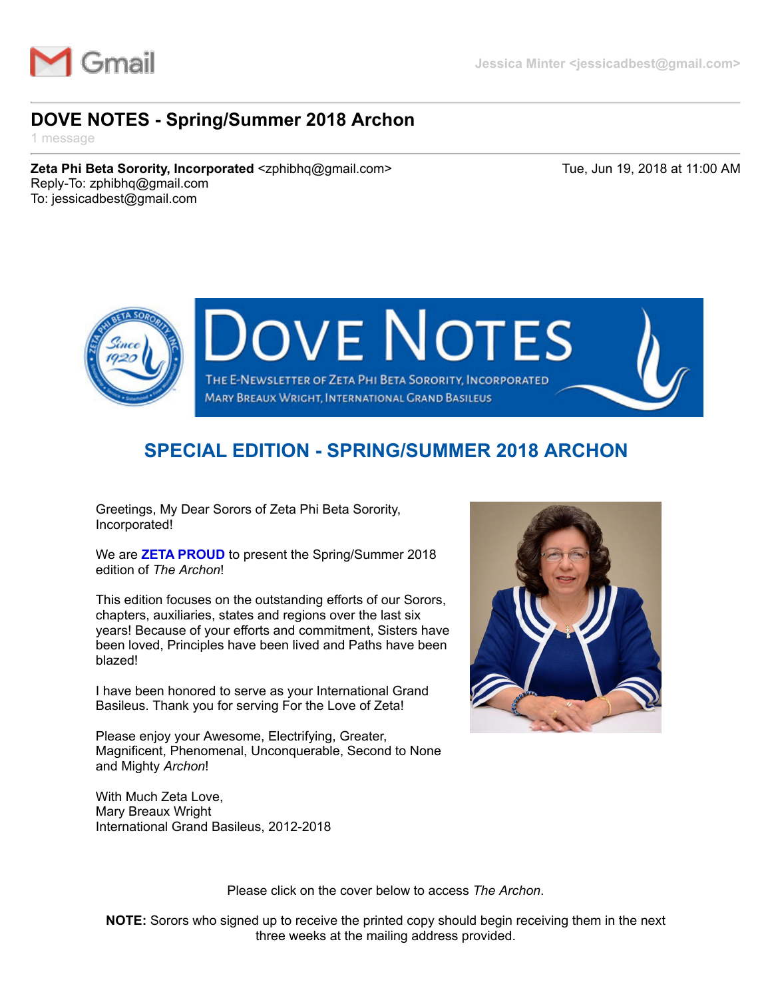

## **DOVE NOTES - Spring/Summer 2018 Archon**

1 message

**Zeta Phi Beta Sorority, Incorporated** <zphibhq@gmail.com> Tue, Jun 19, 2018 at 11:00 AM Reply-To: zphibhq@gmail.com To: jessicadbest@gmail.com



## **SPECIAL EDITION - SPRING/SUMMER 2018 ARCHON**

Greetings, My Dear Sorors of Zeta Phi Beta Sorority, Incorporated!

We are **ZETA PROUD** to present the Spring/Summer 2018 edition of *The Archon*!

This edition focuses on the outstanding efforts of our Sorors, chapters, auxiliaries, states and regions over the last six years! Because of your efforts and commitment, Sisters have been loved, Principles have been lived and Paths have been blazed!

I have been honored to serve as your International Grand Basileus. Thank you for serving For the Love of Zeta!

Please enjoy your Awesome, Electrifying, Greater, Magnificent, Phenomenal, Unconquerable, Second to None and Mighty *Archon*!

With Much Zeta Love, Mary Breaux Wright International Grand Basileus, 2012-2018



Please click on the cover below to access *The Archon*.

**NOTE:** Sorors who signed up to receive the printed copy should begin receiving them in the next three weeks at the mailing address provided.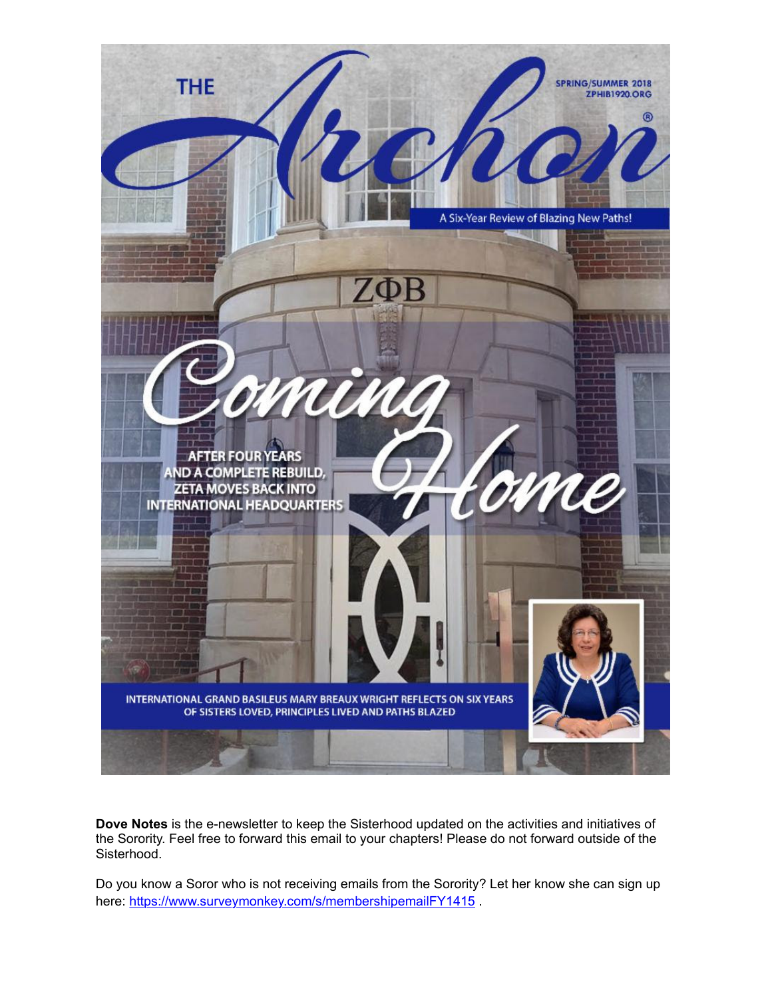

**Dove Notes** is the e-newsletter to keep the Sisterhood updated on the activities and initiatives of the Sorority. Feel free to forward this email to your chapters! Please do not forward outside of the Sisterhood.

Do you know a Soror who is not receiving emails from the Sorority? Let her know she can sign up here: https://www.surveymonkey.com/s/membershipemailFY1415